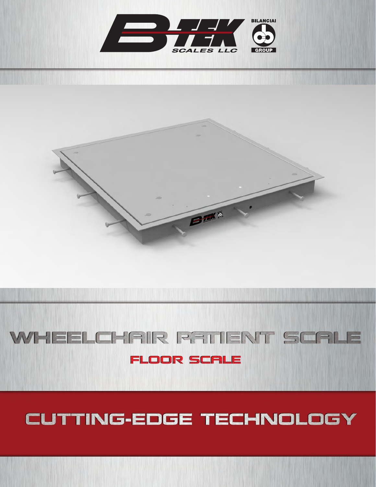



# WHEELCHAIR RATIENT SCALE

### **FLOOR SCALE**

### CUTTING-EDGE TECHNOLOGY